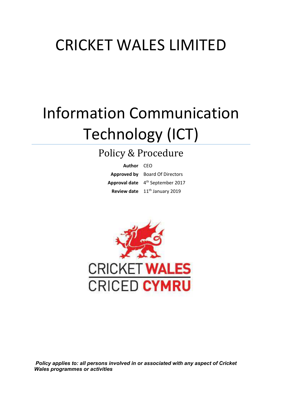## CRICKET WALES LIMITED

# Information Communication Technology (ICT)

### Policy & Procedure

| Author CEO |                                              |
|------------|----------------------------------------------|
|            | <b>Approved by</b> Board Of Directors        |
|            | Approval date 4 <sup>th</sup> September 2017 |
|            | Review date 11 <sup>th</sup> January 2019    |



 *Policy applies to: all persons involved in or associated with any aspect of Cricket Wales programmes or activities*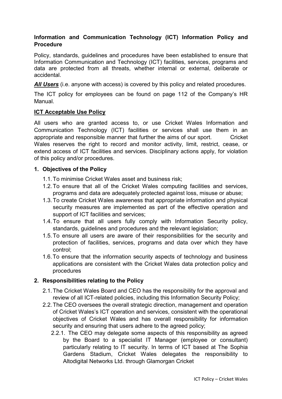#### **Information and Communication Technology (ICT) Information Policy and Procedure**

Policy, standards, guidelines and procedures have been established to ensure that Information Communication and Technology (ICT) facilities, services, programs and data are protected from all threats, whether internal or external, deliberate or accidental.

*All Users* (i.e. anyone with access) is covered by this policy and related procedures.

The ICT policy for employees can be found on page 112 of the Company's HR Manual.

#### **ICT Acceptable Use Policy**

All users who are granted access to, or use Cricket Wales Information and Communication Technology (ICT) facilities or services shall use them in an appropriate and responsible manner that further the aims of our sport. Cricket Wales reserves the right to record and monitor activity, limit, restrict, cease, or extend access of ICT facilities and services. Disciplinary actions apply, for violation of this policy and/or procedures.

#### **1. Objectives of the Policy**

- 1.1. To minimise Cricket Wales asset and business risk;
- 1.2. To ensure that all of the Cricket Wales computing facilities and services, programs and data are adequately protected against loss, misuse or abuse;
- 1.3. To create Cricket Wales awareness that appropriate information and physical security measures are implemented as part of the effective operation and support of ICT facilities and services;
- 1.4. To ensure that all users fully comply with Information Security policy, standards, guidelines and procedures and the relevant legislation;
- 1.5. To ensure all users are aware of their responsibilities for the security and protection of facilities, services, programs and data over which they have control;
- 1.6. To ensure that the information security aspects of technology and business applications are consistent with the Cricket Wales data protection policy and procedures

#### **2. Responsibilities relating to the Policy**

- 2.1. The Cricket Wales Board and CEO has the responsibility for the approval and review of all ICT-related policies, including this Information Security Policy;
- 2.2. The CEO oversees the overall strategic direction, management and operation of Cricket Wales's ICT operation and services, consistent with the operational objectives of Cricket Wales and has overall responsibility for information security and ensuring that users adhere to the agreed policy;
	- 2.2.1. The CEO may delegate some aspects of this responsibility as agreed by the Board to a specialist IT Manager (employee or consultant) particularly relating to IT security. In terms of ICT based at The Sophia Gardens Stadium, Cricket Wales delegates the responsibility to Altodigital Networks Ltd. through Glamorgan Cricket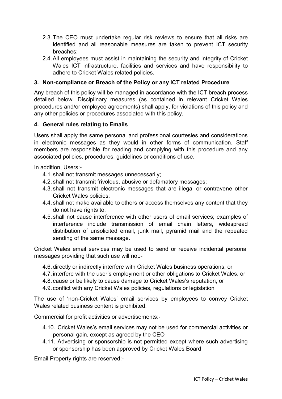- 2.3. The CEO must undertake regular risk reviews to ensure that all risks are identified and all reasonable measures are taken to prevent ICT security breaches;
- 2.4. All employees must assist in maintaining the security and integrity of Cricket Wales ICT infrastructure, facilities and services and have responsibility to adhere to Cricket Wales related policies.

#### **3. Non-compliance or Breach of the Policy or any ICT related Procedure**

Any breach of this policy will be managed in accordance with the ICT breach process detailed below. Disciplinary measures (as contained in relevant Cricket Wales procedures and/or employee agreements) shall apply, for violations of this policy and any other policies or procedures associated with this policy.

#### **4. General rules relating to Emails**

Users shall apply the same personal and professional courtesies and considerations in electronic messages as they would in other forms of communication. Staff members are responsible for reading and complying with this procedure and any associated policies, procedures, guidelines or conditions of use.

In addition, Users:-

- 4.1. shall not transmit messages unnecessarily;
- 4.2. shall not transmit frivolous, abusive or defamatory messages;
- 4.3. shall not transmit electronic messages that are illegal or contravene other Cricket Wales policies;
- 4.4. shall not make available to others or access themselves any content that they do not have rights to;
- 4.5. shall not cause interference with other users of email services; examples of interference include transmission of email chain letters, widespread distribution of unsolicited email, junk mail, pyramid mail and the repeated sending of the same message.

Cricket Wales email services may be used to send or receive incidental personal messages providing that such use will not:-

- 4.6. directly or indirectly interfere with Cricket Wales business operations, or
- 4.7. interfere with the user's employment or other obligations to Cricket Wales, or
- 4.8. cause or be likely to cause damage to Cricket Wales's reputation, or
- 4.9. conflict with any Cricket Wales policies, regulations or legislation

The use of 'non-Cricket Wales' email services by employees to convey Cricket Wales related business content is prohibited.

Commercial for profit activities or advertisements:-

- 4.10. Cricket Wales's email services may not be used for commercial activities or personal gain, except as agreed by the CEO
- 4.11. Advertising or sponsorship is not permitted except where such advertising or sponsorship has been approved by Cricket Wales Board

Email Property rights are reserved:-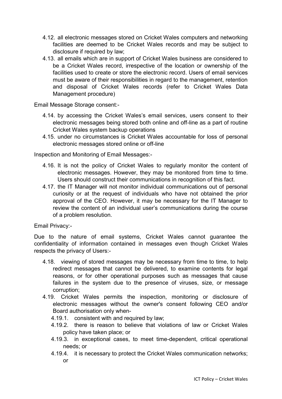- 4.12. all electronic messages stored on Cricket Wales computers and networking facilities are deemed to be Cricket Wales records and may be subject to disclosure if required by law;
- 4.13. all emails which are in support of Cricket Wales business are considered to be a Cricket Wales record, irrespective of the location or ownership of the facilities used to create or store the electronic record. Users of email services must be aware of their responsibilities in regard to the management, retention and disposal of Cricket Wales records (refer to Cricket Wales Data Management procedure)

Email Message Storage consent:-

- 4.14. by accessing the Cricket Wales's email services, users consent to their electronic messages being stored both online and off-line as a part of routine Cricket Wales system backup operations
- 4.15. under no circumstances is Cricket Wales accountable for loss of personal electronic messages stored online or off-line

Inspection and Monitoring of Email Messages:-

- 4.16. It is not the policy of Cricket Wales to regularly monitor the content of electronic messages. However, they may be monitored from time to time. Users should construct their communications in recognition of this fact.
- 4.17. the IT Manager will not monitor individual communications out of personal curiosity or at the request of individuals who have not obtained the prior approval of the CEO. However, it may be necessary for the IT Manager to review the content of an individual user's communications during the course of a problem resolution.

Email Privacy:-

Due to the nature of email systems, Cricket Wales cannot guarantee the confidentiality of information contained in messages even though Cricket Wales respects the privacy of Users:-

- 4.18. viewing of stored messages may be necessary from time to time, to help redirect messages that cannot be delivered, to examine contents for legal reasons, or for other operational purposes such as messages that cause failures in the system due to the presence of viruses, size, or message corruption;
- 4.19. Cricket Wales permits the inspection, monitoring or disclosure of electronic messages without the owner's consent following CEO and/or Board authorisation only when-
	- 4.19.1. consistent with and required by law;
	- 4.19.2. there is reason to believe that violations of law or Cricket Wales policy have taken place; or
	- 4.19.3. in exceptional cases, to meet time-dependent, critical operational needs; or
	- 4.19.4. it is necessary to protect the Cricket Wales communication networks; or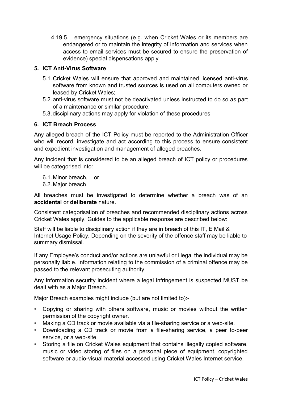4.19.5. emergency situations (e.g. when Cricket Wales or its members are endangered or to maintain the integrity of information and services when access to email services must be secured to ensure the preservation of evidence) special dispensations apply

#### **5. ICT Anti-Virus Software**

- 5.1. Cricket Wales will ensure that approved and maintained licensed anti-virus software from known and trusted sources is used on all computers owned or leased by Cricket Wales;
- 5.2. anti-virus software must not be deactivated unless instructed to do so as part of a maintenance or similar procedure;
- 5.3. disciplinary actions may apply for violation of these procedures

#### **6. ICT Breach Process**

Any alleged breach of the ICT Policy must be reported to the Administration Officer who will record, investigate and act according to this process to ensure consistent and expedient investigation and management of alleged breaches.

Any incident that is considered to be an alleged breach of ICT policy or procedures will be categorised into:

6.1. Minor breach, or

6.2. Major breach

All breaches must be investigated to determine whether a breach was of an **accidental** or **deliberate** nature.

Consistent categorisation of breaches and recommended disciplinary actions across Cricket Wales apply. Guides to the applicable response are described below:

Staff will be liable to disciplinary action if they are in breach of this IT, E Mail & Internet Usage Policy. Depending on the severity of the offence staff may be liable to summary dismissal.

If any Employee's conduct and/or actions are unlawful or illegal the individual may be personally liable. Information relating to the commission of a criminal offence may be passed to the relevant prosecuting authority.

Any information security incident where a legal infringement is suspected MUST be dealt with as a Major Breach.

Major Breach examples might include (but are not limited to):-

- Copying or sharing with others software, music or movies without the written permission of the copyright owner.
- Making a CD track or movie available via a file-sharing service or a web-site.
- Downloading a CD track or movie from a file-sharing service, a peer to-peer service, or a web-site.
- Storing a file on Cricket Wales equipment that contains illegally copied software, music or video storing of files on a personal piece of equipment, copyrighted software or audio-visual material accessed using Cricket Wales Internet service.